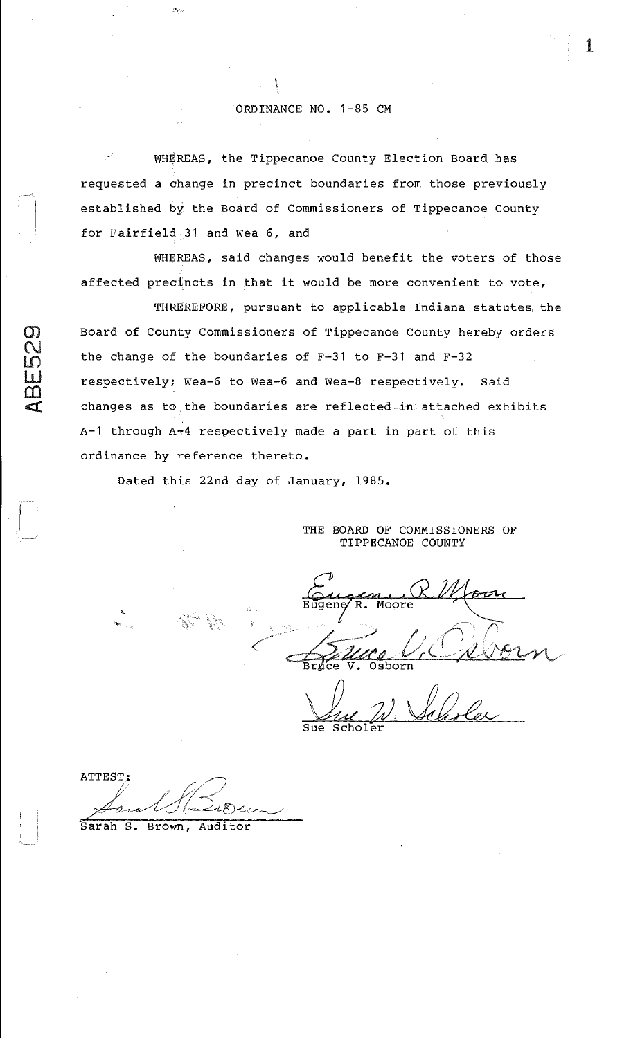## ORDINANCE NO. 1-85 CM

\ \

 $\mathbb{C}^{\mathbb{C}}$ 

WHEREAS, the Tippecanoe County Election Board has requested a change in precinct boundaries from those previously established by the Board of Commissioners of Tippecanoe County for Fairfield 31 and Wea 6, and

WHEREAS, said changes would benefit the voters of those affected precincts in that it would be more convenient to vote,

THREREFORE, pursuant to applicable Indiana statutes, the Board of County Commissioners of Tippecanoe County hereby orders<br>
N<br>
the change of the boundaries of F-31 to F-31 and F-32 the change of the boundaries of  $F-31$  to  $F-31$  and  $F-32$ respectively; Wea-6 to Wea-6 and Wea-8 respectively. Said changes as to the boundaries are reflected in attached exhibits A-1 through  $A_{\overline{2}}4$  respectively made a part in part of this ordinance by reference thereto.

Dated this 22nd day of January, 1985.

THE BOARD OF COMMISSIONERS OF TIPPECANOE COUNTY

~ -'~' Eugen, RMoore  $\sqrt{2u\alpha U}\sqrt{2\nu}$  $\beta$  we U.C. worn Brnce V. Osborn

Sue Suc N. Velioler

ATTEST:  $\mathcal{P}$  pl  $\mathcal{P}$  $\cancel{\mathcal{A}}$ ara  $\bigcup$  (e)  $\mathcal{B}$ con

Sarah S. Brown, Auditor

<sup>~</sup>.. ,

langung)<br>Lina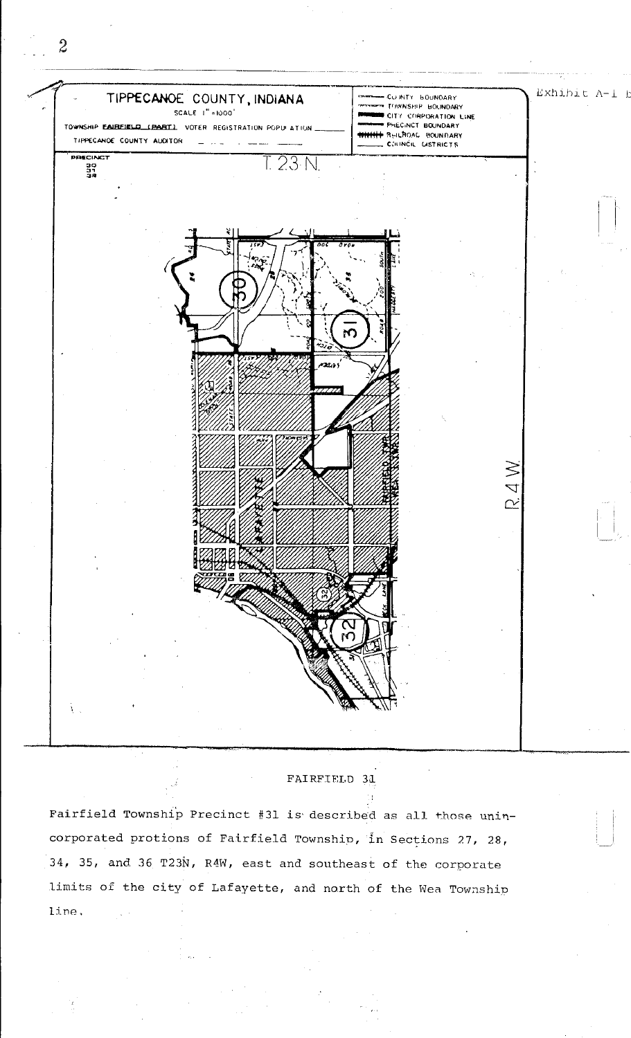

FAIRFIELD 31

Fairfield Township Precinct #31 is described as all those unincorporated protions of Fairfield Township, in Sections 27, 28, 34, 35, and 36 T23N, R4W, east and southeast of the corporate limits of the city of Lafayette, and north of the Wea Township line.

 $\hat{z}$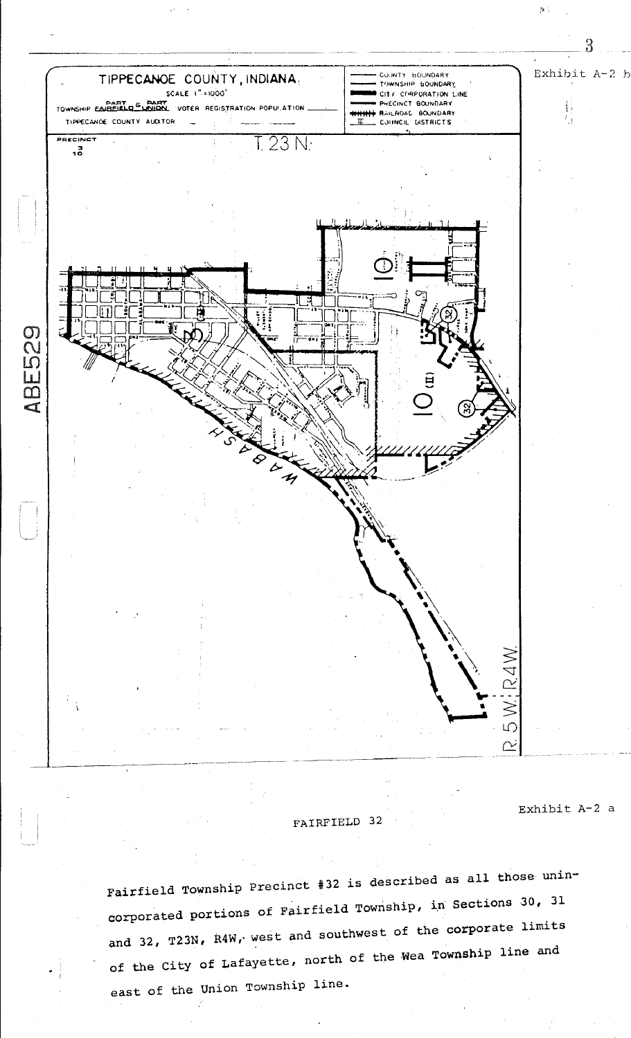

FAIRFIELD 32

Exhibit A-2 a

整了

Fairfield Township Precinct #32 is described as all those unincorporated portions of Fairfield Township, in Sections 30, 31 and 32, T23N, R4W, west and southwest of the corporate limits of the City of Lafayette, north of the Wea Township line and east of the Union Township line.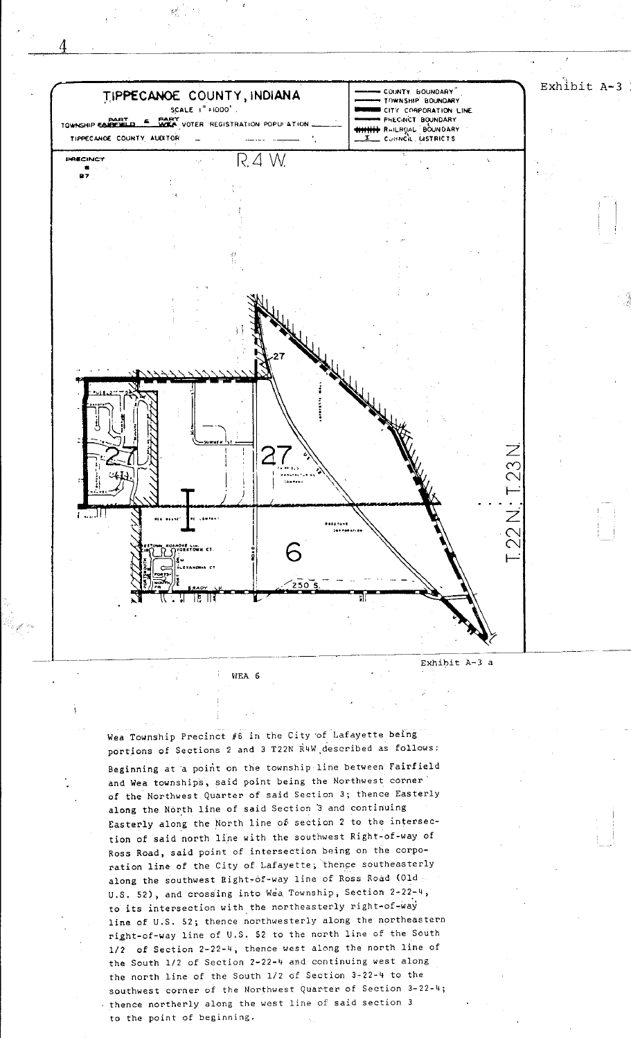

WEA 6

Wea Township Precinct #6 in the City of Lafayette being portions of Sections 2 and 3 T22N R4W described as follows: Beginning at a point on the township line between Fairfield and Wea townships, said point being the Northwest corner of the Northwest Quarter of said Section 3; thence Easterly along the North line of said Section 3 and continuing Easterly along the North line of section 2 to the intersection of said north line with the southwest Right-of-way of Ross Road, said point of intersection being on the corporation line of the City of Lafayette; thence southeasterly along the southwest Right-of-way line of Ross Road (01d : U.S. 52), and crossing into Wea Township, Section 2-22-4, to its intersection with the northeasterly right-of-way line of U.S. 52; thence northwesterly along the northeastern right-of-way line of U.S. 52 to the north line of the South 1/2 of Section 2-22-4, thence west along the north line of the South 1/2 of Section 2-22-4 and continuing west along the north line of the South 1/2 of Section 3-22-4 to the southwest corner of the Northwest Quarter of Section 3-22-4; thence northerly along the west line of said section 3 to the point of beginning.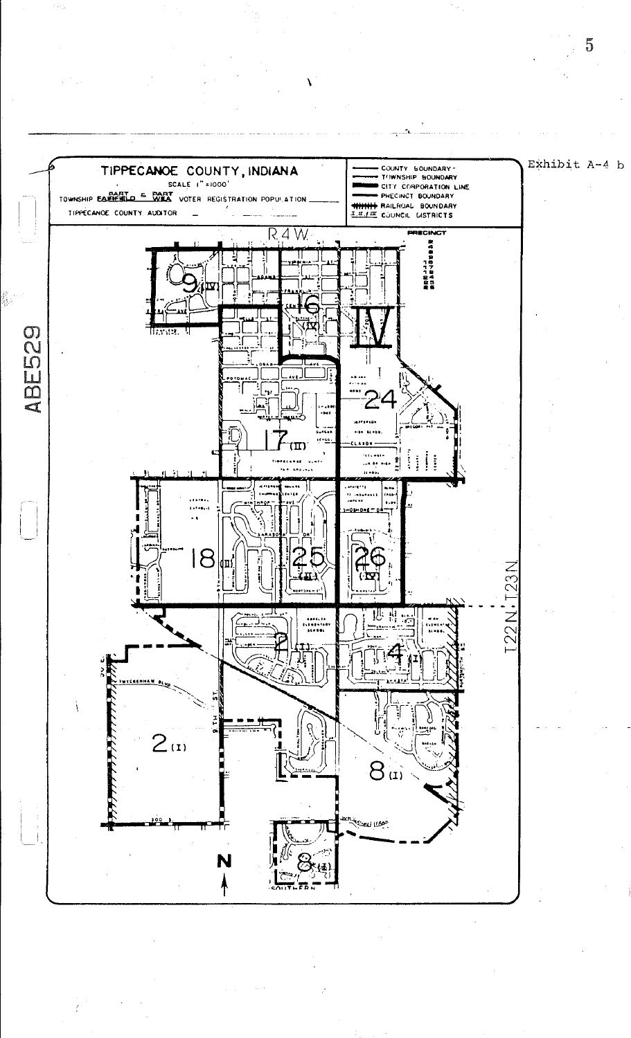